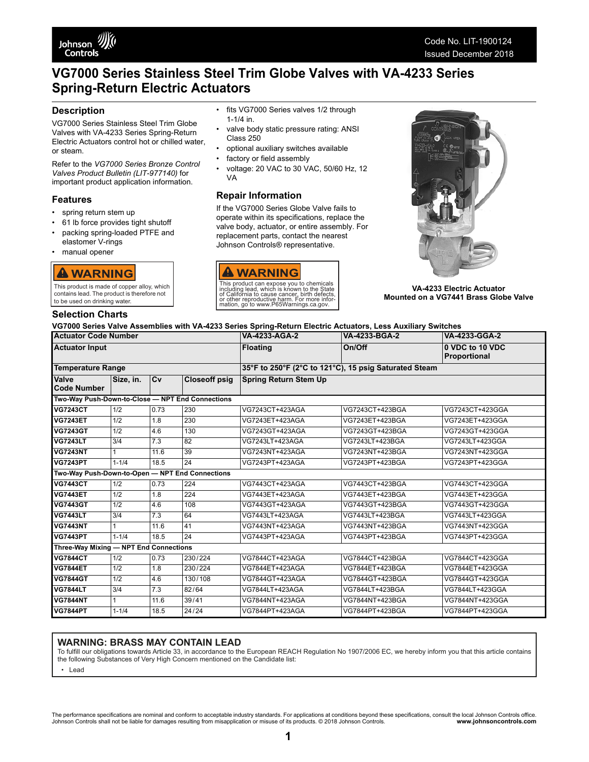

# **VG7000 Series Stainless Steel Trim Globe Valves with VA-4233 Series Spring-Return Electric Actuators**

## **Description**

VG7000 Series Stainless Steel Trim Globe Valves with VA-4233 Series Spring-Return Electric Actuators control hot or chilled water, or steam.

Refer to the *VG7000 Series Bronze Control Valves Product Bulletin (LIT-977140)* for important product application information.

### **Features**

- spring return stem up
- 61 lb force provides tight shutoff
- packing spring-loaded PTFE and
- elastomer V-rings • manual opener



This product is made of copper alloy, which contains lead. The product is therefore not to be used on drinking water.

### **Selection Charts**

- fits VG7000 Series valves 1/2 through 1-1/4 in.
- valve body static pressure rating: ANSI Class 250
- optional auxiliary switches available
- factory or field assembly
- voltage: 20 VAC to 30 VAC, 50/60 Hz, 12 VA

## **Repair Information**

If the VG7000 Series Globe Valve fails to operate within its specifications, replace the valve body, actuator, or entire assembly. For replacement parts, contact the nearest Johnson Controls® representative.





**VA-4233 Electric Actuator Mounted on a VG7441 Brass Globe Valve**

### **VG7000 Series Valve Assemblies with VA-4233 Series Spring-Return Electric Actuators, Less Auxiliary Switches**

| <b>Actuator Code Number</b>                      |                  |                  |                      | VA-4233-AGA-2                                         | VA-4233-BGA-2   | VA-4233-GGA-2                   |  |  |
|--------------------------------------------------|------------------|------------------|----------------------|-------------------------------------------------------|-----------------|---------------------------------|--|--|
| <b>Actuator Input</b>                            |                  |                  |                      | <b>Floating</b>                                       | On/Off          | 0 VDC to 10 VDC<br>Proportional |  |  |
| <b>Temperature Range</b>                         |                  |                  |                      | 35°F to 250°F (2°C to 121°C), 15 psig Saturated Steam |                 |                                 |  |  |
| <b>Valve</b><br><b>Code Number</b>               | Size, in.        | Cv               | <b>Closeoff psig</b> | <b>Spring Return Stem Up</b>                          |                 |                                 |  |  |
| Two-Way Push-Down-to-Close - NPT End Connections |                  |                  |                      |                                                       |                 |                                 |  |  |
| <b>VG7243CT</b>                                  | 1/2              | 0.73             | 230                  | VG7243CT+423AGA                                       | VG7243CT+423BGA | VG7243CT+423GGA                 |  |  |
| <b>VG7243ET</b>                                  | 1/2              | 1.8              | 230                  | VG7243ET+423AGA                                       | VG7243ET+423BGA | VG7243ET+423GGA                 |  |  |
| <b>VG7243GT</b>                                  | 1/2              | 4.6              | 130                  | VG7243GT+423AGA                                       | VG7243GT+423BGA | VG7243GT+423GGA                 |  |  |
| <b>VG7243LT</b>                                  | $\overline{3/4}$ | 7.3              | 82                   | VG7243LT+423AGA                                       | VG7243LT+423BGA | VG7243LT+423GGA                 |  |  |
| <b>VG7243NT</b>                                  | 1                | 11.6             | 39                   | VG7243NT+423AGA                                       | VG7243NT+423BGA | VG7243NT+423GGA                 |  |  |
| <b>VG7243PT</b>                                  | $1 - 1/4$        | 18.5             | 24                   | VG7243PT+423AGA                                       | VG7243PT+423BGA | VG7243PT+423GGA                 |  |  |
| Two-Way Push-Down-to-Open - NPT End Connections  |                  |                  |                      |                                                       |                 |                                 |  |  |
| <b>VG7443CT</b>                                  | 1/2              | 0.73             | 224                  | VG7443CT+423AGA                                       | VG7443CT+423BGA | VG7443CT+423GGA                 |  |  |
| <b>VG7443ET</b>                                  | 1/2              | 1.8              | 224                  | VG7443ET+423AGA                                       | VG7443ET+423BGA | VG7443ET+423GGA                 |  |  |
| <b>VG7443GT</b>                                  | 1/2              | 4.6              | 108                  | VG7443GT+423AGA                                       | VG7443GT+423BGA | VG7443GT+423GGA                 |  |  |
| <b>VG7443LT</b>                                  | 3/4              | 7.3              | 64                   | VG7443LT+423AGA                                       | VG7443LT+423BGA | VG7443LT+423GGA                 |  |  |
| <b>VG7443NT</b>                                  | 1                | 11.6             | 41                   | VG7443NT+423AGA                                       | VG7443NT+423BGA | VG7443NT+423GGA                 |  |  |
| <b>VG7443PT</b>                                  | $1 - 1/4$        | 18.5             | 24                   | VG7443PT+423AGA                                       | VG7443PT+423BGA | VG7443PT+423GGA                 |  |  |
| Three-Way Mixing - NPT End Connections           |                  |                  |                      |                                                       |                 |                                 |  |  |
| <b>VG7844CT</b>                                  | 1/2              | 0.73             | 230/224              | VG7844CT+423AGA                                       | VG7844CT+423BGA | VG7844CT+423GGA                 |  |  |
| <b>VG7844ET</b>                                  | 1/2              | 1.8              | 230/224              | VG7844ET+423AGA                                       | VG7844ET+423BGA | VG7844ET+423GGA                 |  |  |
| <b>VG7844GT</b>                                  | 1/2              | 4.6              | 130/108              | VG7844GT+423AGA                                       | VG7844GT+423BGA | VG7844GT+423GGA                 |  |  |
| <b>VG7844LT</b>                                  | 3/4              | $\overline{7.3}$ | 82/64                | VG7844LT+423AGA                                       | VG7844LT+423BGA | VG7844LT+423GGA                 |  |  |
| <b>VG7844NT</b>                                  | $\mathbf{1}$     | 11.6             | 39/41                | VG7844NT+423AGA                                       | VG7844NT+423BGA | VG7844NT+423GGA                 |  |  |
| <b>VG7844PT</b>                                  | $1 - 1/4$        | 18.5             | 24/24                | VG7844PT+423AGA                                       | VG7844PT+423BGA | VG7844PT+423GGA                 |  |  |

### **WARNING: BRASS MAY CONTAIN LEAD**

To fulfill our obligations towards Article 33, in accordance to the European REACH Regulation No 1907/2006 EC, we hereby inform you that this article contains the following Substances of Very High Concern mentioned on the Candidate list:

• Lead

The performance specifications are nominal and conform to acceptable industry standards. For applications at conditions beyond these specifications, consult the local Johnson Controls office.<br>Johnson Controls .com www.john